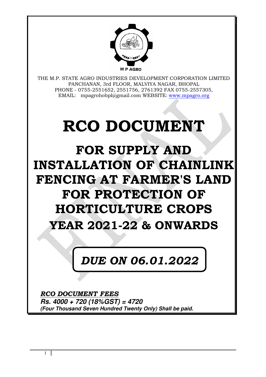

THE M.P. STATE AGRO INDUSTRIES DEVELOPMENT CORPORATION LIMITED PANCHANAN, 3rd FLOOR, MALVIYA NAGAR, BHOPAL PHONE - 0755-2551652, 2551756, 2761392 FAX 0755-2557305, EMAIL: mpagrohobpl@gmail.com WEBSITE: www.mpagro.org

# **RCO DOCUMENT**

**FOR SUPPLY AND INSTALLATION OF CHAINLINK FENCING AT FARMER'S LAND FOR PROTECTION OF HORTICULTURE CROPS YEAR 2021-22 & ONWARDS**

# *DUE ON 06.01.2022*

*RCO DOCUMENT FEES* **Rs. 4000 + 720 (18%GST) = 4720 (Four Thousand Seven Hundred Twenty Only) Shall be paid.**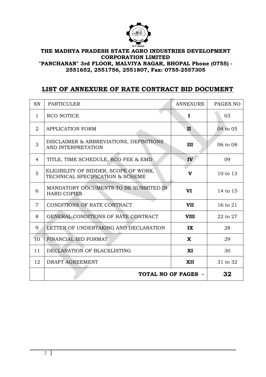

**"PANCHANAN" 3rd FLOOR, MALVIYA NAGAR, BHOPAL Phone (0755) - 2551652, 2551756, 2551807, Fax: 0755-2557305** 

# **LIST OF ANNEXURE OF RATE CONTRACT BID DOCUMENT**

| <b>SN</b>      | <b>PARTICULER</b>                                                         | <b>ANNEXURE</b> | PAGES NO |
|----------------|---------------------------------------------------------------------------|-----------------|----------|
| $\mathbf{1}$   | <b>RCO NOTICE</b>                                                         | $\bf{I}$        | 03       |
| $\overline{2}$ | <b>APPLICATION FORM</b>                                                   | II              | 04 to 05 |
| 3              | DISCLAIMER & ABBREVIATIONS, DEFINITIONS<br>AND INTERPRETATION             | III             | 06 to 08 |
| 4              | TITLE, TIME SCHEDULE, RCO FEE & EMD                                       | IV              | 09       |
| 5              | ELIGIBILITY OF BIDDER, SCOPE OF WORK,<br>TECHNICAL SPECIFICATION & SCHEME | $\mathbf v$     | 10 to 13 |
| 6              | MANDATORY DOCUMENTS TO BE SUBMITED IN<br><b>HARD COPIES</b>               | VI              | 14 to 15 |
| $\overline{7}$ | CONDITIONS OF RATE CONTRACT                                               | <b>VII</b>      | 16 to 21 |
| 8              | GENERAL CONDITIONS OF RATE CONTRACT                                       | <b>VIII</b>     | 22 to 27 |
| 9              | LETTER OF UNDERTAKING AND DECLARATION                                     | IX              | 28       |
| 10             | FINANCIAL BID FORMAT                                                      | $\mathbf{x}$    | 29       |
| 11             | DECLARATION OF BLACKLISTING                                               | XI              | 30       |
| 12             | DRAFT AGREEMENT                                                           | <b>XII</b>      | 31 to 32 |
|                | <b>TOTAL NO OF PAGES -</b>                                                |                 |          |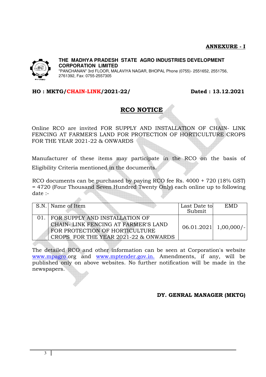

"PANCHANAN" 3rd FLOOR, MALAVIYA NAGAR, BHOPAL Phone (0755)- 2551652, 2551756, 2761392, Fax: 0755-2557305

#### **HO : MKTG/CHAIN-LINK/2021-22/ Dated : 13.12.2021**

 $\triangle$ 

# **RCO NOTICE**

Online RCO are invited FOR SUPPLY AND INSTALLATION OF CHAIN- LINK FENCING AT FARMER'S LAND FOR PROTECTION OF HORTICULTURE CROPS FOR THE YEAR 2021-22 & ONWARDS

Manufacturer of these items may participate in the RCO on the basis of Eligibility Criteria mentioned in the documents.

RCO documents can be purchased by paying RCO fee Rs. 4000 + 720 (18% GST) = 4720 (Four Thousand Seven Hundred Twenty Only) each online up to following date :-

| S.N. Name of Item                                                                                                                               | Last Date to<br>Submit | <b>EMD</b>                |
|-------------------------------------------------------------------------------------------------------------------------------------------------|------------------------|---------------------------|
| FOR SUPPLY AND INSTALLATION OF<br>CHAIN-LINK FENCING AT FARMER'S LAND<br>FOR PROTECTION OF HORTICULTURE<br>CROPS FOR THE YEAR 2021-22 & ONWARDS |                        | $06.01.2021$   1,00,000/- |

The detailed RCO and other information can be seen at Corporation's website www.mpagro.org and www.mptender.gov.in. Amendments, if any, will be published only on above websites. No further notification will be made in the newspapers.

#### **DY. GENRAL MANAGER (MKTG)**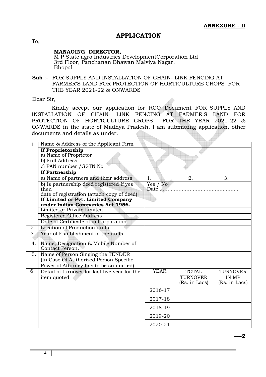#### **APPLICATION**

To,

#### **MANAGING DIRECTOR,**

M P State agro Industries DevelopmentCorporation Ltd 3rd Floor, Panchanan Bhawan Malviya Nagar, Bhopal

**Sub** :- FOR SUPPLY AND INSTALLATION OF CHAIN- LINK FENCING AT FARMER'S LAND FOR PROTECTION OF HORTICULTURE CROPS FOR THE YEAR 2021-22 & ONWARDS

Dear Sir,

 Kindly accept our application for RCO Document FOR SUPPLY AND INSTALLATION OF CHAIN- LINK FENCING AT FARMER'S LAND FOR PROTECTION OF HORTICULTURE CROPS FOR THE YEAR 2021-22 & ONWARDS in the state of Madhya Pradesh. I am submitting application, other documents and details as under. KIN.

| 1              | Name & Address of the Applicant Firm                                                           |                  |                  |                 |
|----------------|------------------------------------------------------------------------------------------------|------------------|------------------|-----------------|
|                | <b>If Proprietorship</b><br>a) Name of Proprietor                                              |                  |                  |                 |
|                | b) Full Address                                                                                |                  |                  |                 |
|                | c) PAN number / GSTN No                                                                        |                  |                  |                 |
|                | <b>If Partnership</b>                                                                          |                  |                  |                 |
|                | a) Name of partners and their address                                                          | 1.               | $\overline{2}$ . | 3.              |
|                | b) Is partnership deed registered If yes<br>then<br>date of registration (attach copy of deed) | Yes / No<br>Date |                  |                 |
|                | If Limited or Pvt. Limited Company                                                             |                  |                  |                 |
|                | under Indian Companies Act 1956.                                                               |                  |                  |                 |
|                | Limited or Private Limited                                                                     |                  |                  |                 |
|                | <b>Registered Office Address</b>                                                               |                  |                  |                 |
|                | Date of Certificate of in Corporation                                                          |                  |                  |                 |
| $\overline{2}$ | Location of Production units                                                                   |                  |                  |                 |
| $\overline{3}$ | Year of Establishment of the units.                                                            |                  |                  |                 |
| 4.             | Name, Designation & Mobile Number of<br>Contact Person,                                        |                  |                  |                 |
| 5.             | Name of Person Singing the TENDER<br>(In Case Of Authorized Person Specific                    |                  |                  |                 |
|                | Power of Attorney has to be submitted)                                                         |                  |                  |                 |
| 6.             | Detail of turnover for last five year for the                                                  | <b>YEAR</b>      | <b>TOTAL</b>     | <b>TURNOVER</b> |
|                | item quoted                                                                                    |                  | <b>TURNOVER</b>  | IN MP           |
|                |                                                                                                |                  | (Rs. in Lacs)    | (Rs. in Lacs)   |
|                |                                                                                                | 2016-17          |                  |                 |
|                |                                                                                                | 2017-18          |                  |                 |
|                |                                                                                                | 2018-19          |                  |                 |
|                |                                                                                                | 2019-20          |                  |                 |
|                |                                                                                                | 2020-21          |                  |                 |

**----2**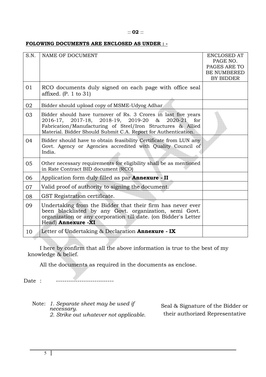#### :: **02** ::

#### **FOLOWING DOCUMENTS ARE ENCLOSED AS UNDER : -**

| S.N. | NAME OF DOCUMENT                                                                                                                                                                                                                                          | ENCLOSED AT<br>PAGE NO.<br>PAGES ARE TO<br><b>BE NUMBERED</b><br>BY BIDDER |
|------|-----------------------------------------------------------------------------------------------------------------------------------------------------------------------------------------------------------------------------------------------------------|----------------------------------------------------------------------------|
| 01   | RCO documents duly signed on each page with office seal<br>affixed. (P. 1 to 31)                                                                                                                                                                          |                                                                            |
| 02   | Bidder should upload copy of MSME-Udyog Adhar                                                                                                                                                                                                             |                                                                            |
| 03   | Bidder should have turnover of Rs. 3 Crores in last five years<br>2016-17, 2017-18, 2018-19, 2019-20 &<br>2020-21<br>for<br>Fabrication/Manufacturing of Steel/Iron Structures & Allied<br>Material. Bidder Should Submit C.A. Report for Authentication. |                                                                            |
| 04   | Bidder should have to obtain feasibility Certificate from LUN any<br>Govt. Agency or Agencies accredited with Quality Council of<br>India.                                                                                                                |                                                                            |
| 05   | Other necessary requirements for eligibility shall be as mentioned<br>in Rate Contract BID document (RCO)                                                                                                                                                 |                                                                            |
| 06   | Application form duly filled as par <b>Annexure</b> - II                                                                                                                                                                                                  |                                                                            |
| 07   | Valid proof of authority to signing the document.                                                                                                                                                                                                         |                                                                            |
| 08   | GST Registration certificate.                                                                                                                                                                                                                             |                                                                            |
| 09   | Undertaking from the Bidder that their firm has never ever<br>been blacklisted by any Govt. organization, semi Govt.<br>organization or any corporation till date. (on Bidder's Letter<br>Head) Annexure -XI                                              |                                                                            |
| 10   | Letter of Undertaking & Declaration <b>Annexure</b> - IX                                                                                                                                                                                                  |                                                                            |

 I here by confirm that all the above information is true to the best of my knowledge & belief.

All the documents as required in the documents as enclose.

Date : ----------------------------

Note: *1. Separate sheet may be used if necessary. 2. Strike out whatever not applicable.* 

Seal & Signature of the Bidder or their authorized Representative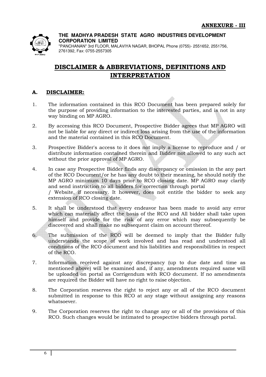

"PANCHANAN" 3rd FLOOR, MALAVIYA NAGAR, BHOPAL Phone (0755)- 2551652, 2551756, 2761392, Fax: 0755-2557305

# **DISCLAIMER & ABBREVIATIONS, DEFINITIONS AND INTERPRETATION**

#### **A. DISCLAIMER:**

- 1. The information contained in this RCO Document has been prepared solely for the purpose of providing information to the interested parties, and is not in any way binding on MP AGRO.
- 2. By accessing this RCO Document, Prospective Bidder agrees that MP AGRO will not be liable for any direct or indirect loss arising from the use of the information and the material contained in this RCO Document.
- 3. Prospective Bidder's access to it does not imply a license to reproduce and / or distribute information contained therein and Bidder not allowed to any such act without the prior approval of MP AGRO.
- 4. In case any Prospective Bidder finds any discrepancy or omission in the any part of the RCO Document/or he has any doubt to their meaning, he should notify the MP AGRO minimum 10 days prior to RCO closing date. MP AGRO may clarify and send instruction to all bidders for correction through portal / Website, if necessary. It however, does not entitle the bidder to seek any extension of RCO closing date.
- 5. It shall be understood that every endeavor has been made to avoid any error which can materially affect the basis of the RCO and All bidder shall take upon himself and provide for the risk of any error which may subsequently be discovered and shall make no subsequent claim on account thereof.
- 6. The submission of the RCO will be deemed to imply that the Bidder fully understands the scope of work involved and has read and understood all conditions of the RCO document and his liabilities and responsibilities in respect of the RCO.
- 7. Information received against any discrepancy (up to due date and time as mentioned above) will be examined and, if any, amendments required same will be uploaded on portal as Corrigendum with RCO document. If no amendments are required the Bidder will have no right to raise objection.
- 8. The Corporation reserves the right to reject any or all of the RCO document submitted in response to this RCO at any stage without assigning any reasons whatsoever.
- 9. The Corporation reserves the right to change any or all of the provisions of this RCO. Such changes would be intimated to prospective bidders through portal.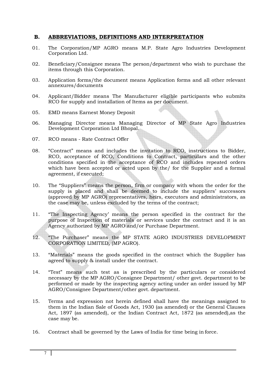#### **B. ABBREVIATIONS, DEFINITIONS AND INTERPRETATION**

- 01. The Corporation/MP AGRO means M.P. State Agro Industries Development Corporation Ltd.
- 02. Beneficiary/Consignee means The person/department who wish to purchase the items through this Corporation.
- 03. Application forms/the document means Application forms and all other relevant annexures/documents
- 04. Applicant/Bidder means The Manufacturer eligible participants who submits RCO for supply and installation of Items as per document.
- 05. EMD means Earnest Money Deposit
- 06. Managing Director means Managing Director of MP State Agro Industries Development Corporation Ltd Bhopal.
- 07. RCO means Rate Contract Offer
- 08. "Contract" means and includes the invitation to RCO, instructions to Bidder, RCO, acceptance of RCO, Conditions to Contract, particulars and the other conditions specified in the acceptance of RCO and includes repeated orders which have been accepted or acted upon by the/ for the Supplier and a formal agreement, if executed;
- 10. The "Suppliers" means the person, firm or company with whom the order for the supply is placed and shall be deemed to include the suppliers' successors (approved by MP AGRO) representatives, heirs, executors and administrators, as the case may be, unless excluded by the terms of the contract;
- 11. "The Inspecting Agency' means the person specified in the contract for the purpose of Inspection of materials or services under the contract and it is an Agency authorized by MP AGRO and/or Purchase Department.
- 12. "The Purchaser" means the MP STATE AGRO INDUSTRIES DEVELOPMENT CORPORATION LIMITED, (MP AGRO).
- 13. "Materials" means the goods specified in the contract which the Supplier has agreed to supply & install under the contract.
- 14. "Test" means such test as is prescribed by the particulars or considered necessary by the MP AGRO/Consignee Department/ other govt. department to be performed or made by the inspecting agency acting under an order issued by MP AGRO/Consignee Department/other govt. department.
- 15. Terms and expression not herein defined shall have the meanings assigned to them in the Indian Sale of Goods Act, 1930 (as amended) or the General Clauses Act, 1897 (as amended), or the Indian Contract Act, 1872 (as amended),as the case may be.
- 16. Contract shall be governed by the Laws of India for time being in force.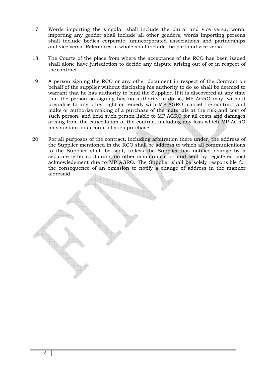- 17. Words importing the singular shall include the plural and vice versa, words importing any gender shall include all other genders, words importing persons shall include bodies corporate, unincorporated associations and partnerships and vice versa. References to whole shall include the part and vice versa.
- 18. The Courts of the place from where the acceptance of the RCO has been issued shall alone have jurisdiction to decide any dispute arising out of or in respect of the contract.
- 19. A person signing the RCO or any other document in respect of the Contract on behalf of the supplier without disclosing his authority to do so shall be deemed to warrant that he has authority to bind the Supplier. If it is discovered at any time that the person so signing has no authority to do so, MP AGRO may, without prejudice to any other right or remedy with MP AGRO, cancel the contract and make or authorize making of a purchase of the materials at the risk and cost of such person, and hold such person liable to MP AGRO for all costs and damages arising from the cancellation of the contract including any loss which MP AGRO may sustain on account of such purchase.
- 20. For all purposes of the contract, including arbitration there under, the address of the Supplier mentioned in the RCO shall be address to which all communications to the Supplier shall be sent, unless the Supplier has notified change by a separate letter containing no other communication and sent by registered post acknowledgment due to MP AGRO. The Supplier shall be solely responsible for the consequence of an omission to notify a change of address in the manner aforesaid.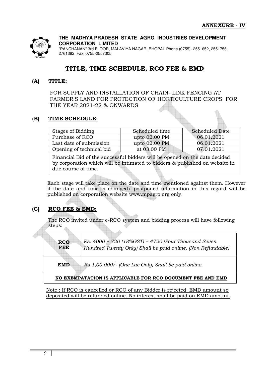

"PANCHANAN" 3rd FLOOR, MALAVIYA NAGAR, BHOPAL Phone (0755)- 2551652, 2551756, 2761392, Fax: 0755-2557305

# **TITLE, TIME SCHEDULE, RCO FEE & EMD**

#### **(A) TITLE:**

FOR SUPPLY AND INSTALLATION OF CHAIN- LINK FENCING AT FARMER'S LAND FOR PROTECTION OF HORTICULTURE CROPS FOR THE YEAR 2021-22 & ONWARDS

#### **(B) TIME SCHEDULE:**

| Stages of Bidding        | Scheduled time | <b>Scheduled Date</b> |
|--------------------------|----------------|-----------------------|
| Purchase of RCO          | upto 02.00 PM  | 06.01.2021            |
| Last date of submission  | upto 02.00 PM  | 06.01.2021            |
| Opening of technical bid | at 03.00 PM    | 07.01.2021            |

Financial Bid of the successful bidders will be opened on the date decided by corporation which will be intimated to bidders & published on website in due course of time.

Each stage will take place on the date and time mentioned against them. However if the date and time is changed/ postponed information in this regard will be published on corporation website www.mpagro.org only.

#### **(C) RCO FEE & EMD:**

The RCO invited under e-RCO system and bidding process will have following steps:

| <b>RCO</b><br><b>FEE</b> | Rs. $4000 + 720$ (18%GST) = 4720 (Four Thousand Seven<br>Hundred Twenty Only) Shall be paid online. (Non Refundable) |
|--------------------------|----------------------------------------------------------------------------------------------------------------------|
| EMD                      | Rs 1,00,000/- (One Lac Only) Shall be paid online.                                                                   |
|                          | NO EXEMPATATION IS APPLICABLE FOR RCO DOCUMENT FEE AND EMD                                                           |

Note : If RCO is cancelled or RCO of any Bidder is rejected. EMD amount so deposited will be refunded online. No interest shall be paid on EMD amount.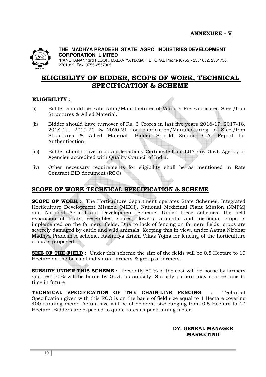

"PANCHANAN" 3rd FLOOR, MALAVIYA NAGAR, BHOPAL Phone (0755)- 2551652, 2551756, 2761392, Fax: 0755-2557305

# **ELIGIBILITY OF BIDDER, SCOPE OF WORK, TECHNICAL SPECIFICATION & SCHEME**

#### **ELIGIBILITY :**

- (i) Bidder should be Fabricator/Manufacturer of Various Pre-Fabricated Steel/Iron Structures & Allied Material.
- (ii) Bidder should have turnover of Rs. 3 Crores in last five years 2016-17, 2017-18, 2018-19, 2019-20 & 2020-21 for Fabrication/Manufacturing of Steel/Iron Structures & Allied Material. Bidder Should Submit C.A. Report for Authentication.
- (iii) Bidder should have to obtain feasibility Certificate from LUN any Govt. Agency or Agencies accredited with Quality Council of India.
- (iv) Other necessary requirements for eligibility shall be as mentioned in Rate Contract BID document (RCO)

## **SCOPE OF WORK TECHNICAL SPECIFICATION & SCHEME**

**SCOPE OF WORK :** The Horticulture department operates State Schemes, Integrated Horticulture Development Mission (MIDH), National Medicinal Plant Mission (NMPM) and National Agricultural Development Scheme. Under these schemes, the field expansion of fruits, vegetables, spices, flowers, aromatic and medicinal crops is implemented on the farmers, fields. Due to lack of fencing on farmers fields, crops are severely damaged by cattle and wild animals. Keeping this in view, under Aatma Nirbhar Madhya Pradesh A scheme, Rashtriya Krishi Vikas Yojna for fencing of the horticulture crops is proposed.

**SIZE OF THE FIELD :** Under this scheme the size of the fields will be 0.5 Hectare to 10 Hectare on the basis of individual farmers & group of farmers.

**SUBSIDY UNDER THIS SCHEME :** Presently 50 % of the cost will be borne by farmers and rest 50% will be borne by Govt. as subsidy. Subsidy pattern may change time to time in future.

**TECHNICAL SPECIFICATION OF THE CHAIN-LINK FENCING :** Technical Specification given with this RCO is on the basis of field size equal to 1 Hectare covering 400 running meter. Actual size will be of deferent size ranging from 0.5 Hectare to 10 Hectare. Bidders are expected to quote rates as per running meter.

> **DY. GENRAL MANAGER {MARKETING}**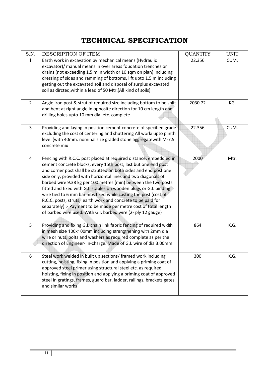# **TECHNICAL SPECIFICATION**

| S.N.           | DESCRIPTION OF ITEM                                                                                                                                                                                                                                                                                                                                                                                                                                                                                                                                                                                                                                                                        | <b>QUANTITY</b> | <b>UNIT</b> |
|----------------|--------------------------------------------------------------------------------------------------------------------------------------------------------------------------------------------------------------------------------------------------------------------------------------------------------------------------------------------------------------------------------------------------------------------------------------------------------------------------------------------------------------------------------------------------------------------------------------------------------------------------------------------------------------------------------------------|-----------------|-------------|
| 1              | Earth work in excavation by mechanical means (Hydraulic<br>excavator)/ manual means in over areas foudation trenches or<br>drains (not exceeding 1.5 m in width or 10 sqm on plan) including<br>dressing of sides and ramming of bottoms, lift upto 1.5 m including<br>getting out the excavated soil and disposal of surplus excavated<br>soil as dircted, within a lead of 50 Mtr. (All kind of soils)                                                                                                                                                                                                                                                                                   | 22.356          | CUM.        |
| $\overline{2}$ | Angle iron post & strut of required size including bottom to be split<br>and bent at right angle in opposite direction for 10 cm length and<br>drilling holes upto 10 mm dia. etc. complete                                                                                                                                                                                                                                                                                                                                                                                                                                                                                                | 2030.72         | KG.         |
| $\overline{3}$ | Providing and laying in position cement concrete of specified grade<br>excluding the cost of centering and shuttering All worki upto plinth<br>level (with 40mm. nominal size graded stone aggregatewith M-7.5<br>concrete mix                                                                                                                                                                                                                                                                                                                                                                                                                                                             | 22.356          | CUM.        |
| $\overline{4}$ | Fencing with R.C.C. post placed at required distance, embedd ed in<br>cement concrete blocks, every 15th post, last but one end post<br>and corner post shall be strutted on both sides and end post one<br>side only, provided with horizontal lines and two diagonals of<br>barbed wire 9.38 kg per 100 metres (min) between the two posts<br>fitted and fixed with G.I. staples on wooden plugs or G.I. binding<br>wire tied to 6 mm bar nibs fixed while casting the post (cost of<br>R.C.C. posts, struts, earth work and concrete to be paid for<br>separately) :- Payment to be made per metre cost of total length<br>of barbed wire used. With G.I. barbed wire (2- ply 12 gauge) | 2000            | Mtr.        |
| 5              | Providing and fixing G.I. chain link fabric fencing of required width<br>in mesh size 100x100mm including strengthening with 2mm dia<br>wire or nuts, bolts and washers as required complete as per the<br>direction of Engineer- in-charge. Made of G.I. wire of dia 3.00mm                                                                                                                                                                                                                                                                                                                                                                                                               | 864             | K.G.        |
| 6              | Steel work welded in built up sections/ framed work including<br>cutting, hoisting, fixing in position and applying a priming coat of<br>approved steel primer using structural steel etc. as required.<br>hoisting, fixing in position and applying a priming coat of approved<br>steel In gratings, frames, guard bar, ladder, railings, brackets gates<br>and similar works                                                                                                                                                                                                                                                                                                             | 300             | K.G.        |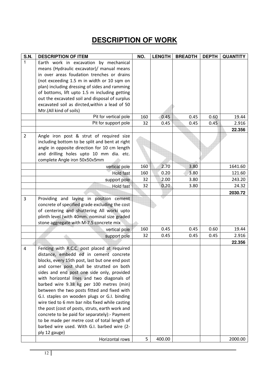# **DESCRIPTION OF WORK**

| <b>S.N.</b>    | <b>DESCRIPTION OF ITEM</b>                      | NO. | <b>LENGTH</b> | <b>BREADTH</b> | <b>DEPTH</b> | <b>QUANTITY</b> |
|----------------|-------------------------------------------------|-----|---------------|----------------|--------------|-----------------|
| 1              | Earth work in excavation by mechanical          |     |               |                |              |                 |
|                | means (Hydraulic excavator)/ manual means       |     |               |                |              |                 |
|                | in over areas foudation trenches or drains      |     |               |                |              |                 |
|                | (not exceeding 1.5 m in width or 10 sqm on      |     |               |                |              |                 |
|                | plan) including dressing of sides and ramming   |     |               |                |              |                 |
|                | of bottoms, lift upto 1.5 m including getting   |     |               |                |              |                 |
|                | out the excavated soil and disposal of surplus  |     |               |                |              |                 |
|                | excavated soil as dircted, within a lead of 50  |     |               |                |              |                 |
|                | Mtr.(All kind of soils)                         |     |               |                |              |                 |
|                | Pit for vertical pole                           | 160 | 0.45          | 0.45           | 0.60         | 19.44           |
|                | Pit for support pole                            | 32  | 0.45          | 0.45           | 0.45         | 2.916           |
|                |                                                 |     |               |                |              | 22.356          |
| $\overline{2}$ | Angle iron post & strut of required size        |     |               |                |              |                 |
|                | including bottom to be split and bent at right  |     |               |                |              |                 |
|                | angle in opposite direction for 10 cm length    |     |               |                |              |                 |
|                | and drilling holes upto 10 mm dia. etc.         |     |               |                |              |                 |
|                | complete Angle iron 50x50x5mm                   |     |               |                |              |                 |
|                | vertical pole                                   | 160 | 2.70          | 3.80           |              | 1641.60         |
|                | Hold fast                                       | 160 | 0.20          | 3.80           |              | 121.60          |
|                | support pole                                    | 32  | 2.00          | 3.80           |              | 243.20          |
|                | Hold fast                                       | 32  | 0.20          | 3.80           |              | 24.32           |
|                |                                                 |     |               |                |              | 2030.72         |
| 3              | Providing and laying in position cement         |     |               |                |              |                 |
|                | concrete of specified grade excluding the cost  |     |               |                |              |                 |
|                | of centering and shuttering All worki upto      |     |               |                |              |                 |
|                | plinth level (with 40mm. nominal size graded    |     |               |                |              |                 |
|                | stone aggregate with M-7.5 concrete mix         |     |               |                |              |                 |
|                | vertical pole                                   | 160 | 0.45          | 0.45           | 0.60         | 19.44           |
|                | support pole                                    | 32  | 0.45          | 0.45           | 0.45         | 2.916           |
|                |                                                 |     |               |                |              | 22.356          |
| $\overline{4}$ | Fencing with R.C.C. post placed at required     |     |               |                |              |                 |
|                | distance, embedd ed in cement concrete          |     |               |                |              |                 |
|                | blocks, every 15th post, last but one end post  |     |               |                |              |                 |
|                | and corner post shall be strutted on both       |     |               |                |              |                 |
|                | sides and end post one side only, provided      |     |               |                |              |                 |
|                | with horizontal lines and two diagonals of      |     |               |                |              |                 |
|                | barbed wire 9.38 kg per 100 metres (min)        |     |               |                |              |                 |
|                | between the two posts fitted and fixed with     |     |               |                |              |                 |
|                | G.I. staples on wooden plugs or G.I. binding    |     |               |                |              |                 |
|                | wire tied to 6 mm bar nibs fixed while casting  |     |               |                |              |                 |
|                | the post (cost of posts, struts, earth work and |     |               |                |              |                 |
|                | concrete to be paid for separately):- Payment   |     |               |                |              |                 |
|                | to be made per metre cost of total length of    |     |               |                |              |                 |
|                | barbed wire used. With G.I. barbed wire (2-     |     |               |                |              |                 |
|                | ply 12 gauge)                                   |     |               |                |              |                 |
|                | Horizontal rows                                 | 5   | 400.00        |                |              | 2000.00         |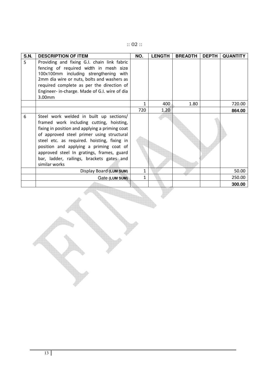|  | Œ |  |  |
|--|---|--|--|
|  | ╭ |  |  |

| <b>S.N.</b> | <b>DESCRIPTION OF ITEM</b>                     | NO. | <b>LENGTH</b> | <b>BREADTH</b> | <b>DEPTH</b> | <b>QUANTITY</b> |
|-------------|------------------------------------------------|-----|---------------|----------------|--------------|-----------------|
| 5           | Providing and fixing G.I. chain link fabric    |     |               |                |              |                 |
|             | fencing of required width in mesh size         |     |               |                |              |                 |
|             | 100x100mm including strengthening with         |     |               |                |              |                 |
|             | 2mm dia wire or nuts, bolts and washers as     |     |               |                |              |                 |
|             | required complete as per the direction of      |     |               |                |              |                 |
|             | Engineer- in-charge. Made of G.I. wire of dia  |     |               |                |              |                 |
|             | 3.00mm                                         |     |               |                |              |                 |
|             |                                                | 1   | 400           | 1.80           |              | 720.00          |
|             |                                                | 720 | 1.20          |                |              | 864.00          |
| 6           | Steel work welded in built up sections/        |     |               |                |              |                 |
|             | framed work including cutting, hoisting,       |     |               |                |              |                 |
|             | fixing in position and applying a priming coat |     |               |                |              |                 |
|             | of approved steel primer using structural      |     |               |                |              |                 |
|             | steel etc. as required. hoisting, fixing in    |     |               |                |              |                 |
|             | position and applying a priming coat of        |     |               |                |              |                 |
|             | approved steel In gratings, frames, guard      |     |               |                |              |                 |
|             | bar, ladder, railings, brackets gates and      |     |               |                |              |                 |
|             | similar works                                  |     |               |                |              |                 |
|             | Display Board (LUM SUM)                        | 1   |               |                |              | 50.00           |
|             | Gate (LUM SUM)                                 | 1   |               |                |              | 250.00          |
|             |                                                |     |               |                |              | 300.00          |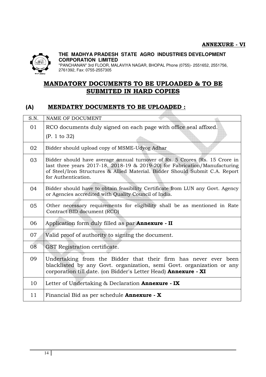

"PANCHANAN" 3rd FLOOR, MALAVIYA NAGAR, BHOPAL Phone (0755)- 2551652, 2551756, 2761392, Fax: 0755-2557305

# **MANDATORY DOCUMENTS TO BE UPLOADED & TO BE SUBMITED IN HARD COPIES**

# **(A) MENDATRY DOCUMENTS TO BE UPLOADED :**

| S.N. | NAME OF DOCUMENT                                                                                                                                                                                                                                                 |
|------|------------------------------------------------------------------------------------------------------------------------------------------------------------------------------------------------------------------------------------------------------------------|
| 01   | RCO documents duly signed on each page with office seal affixed.                                                                                                                                                                                                 |
|      | (P. 1 to 32)                                                                                                                                                                                                                                                     |
| 02   | Bidder should upload copy of MSME-Udyog Adhar                                                                                                                                                                                                                    |
| 03   | Bidder should have average annual turnover of Rs. 5 Crores (Rs. 15 Crore in<br>last three years 2017-18, 2018-19 & 2019-20) for Fabrication/Manufacturing<br>of Steel/Iron Structures & Allied Material. Bidder Should Submit C.A. Report<br>for Authentication. |
| 04   | Bidder should have to obtain feasibility Certificate from LUN any Govt. Agency<br>or Agencies accredited with Quality Council of India.                                                                                                                          |
| 05   | Other necessary requirements for eligibility shall be as mentioned in Rate<br>Contract BID document (RCO)                                                                                                                                                        |
| 06   | Application form duly filled as par Annexure - II                                                                                                                                                                                                                |
| 07   | Valid proof of authority to signing the document.                                                                                                                                                                                                                |
| 08   | GST Registration certificate.                                                                                                                                                                                                                                    |
| 09   | Undertaking from the Bidder that their firm has never ever been<br>blacklisted by any Govt. organization, semi Govt. organization or any<br>corporation till date. (on Bidder's Letter Head) Annexure - XI                                                       |
| 10   | Letter of Undertaking $\&$ Declaration <b>Annexure</b> - IX                                                                                                                                                                                                      |
| 11   | Financial Bid as per schedule <b>Annexure</b> - X                                                                                                                                                                                                                |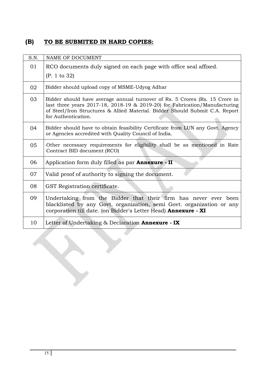# **(B) TO BE SUBMITED IN HARD COPIES:**

| S.N. | NAME OF DOCUMENT                                                                                                                                                                                                                                                 |
|------|------------------------------------------------------------------------------------------------------------------------------------------------------------------------------------------------------------------------------------------------------------------|
| 01   | RCO documents duly signed on each page with office seal affixed.                                                                                                                                                                                                 |
|      | (P. 1 to 32)                                                                                                                                                                                                                                                     |
| 02   | Bidder should upload copy of MSME-Udyog Adhar                                                                                                                                                                                                                    |
| 03   | Bidder should have average annual turnover of Rs. 5 Crores (Rs. 15 Crore in<br>last three years 2017-18, 2018-19 & 2019-20) for Fabrication/Manufacturing<br>of Steel/Iron Structures & Allied Material. Bidder Should Submit C.A. Report<br>for Authentication. |
| 04   | Bidder should have to obtain feasibility Certificate from LUN any Govt. Agency<br>or Agencies accredited with Quality Council of India.                                                                                                                          |
| 05   | Other necessary requirements for eligibility shall be as mentioned in Rate<br>Contract BID document (RCO)                                                                                                                                                        |
| 06   | Application form duly filled as par <b>Annexure</b> - II                                                                                                                                                                                                         |
| 07   | Valid proof of authority to signing the document.                                                                                                                                                                                                                |
| 08   | GST Registration certificate.                                                                                                                                                                                                                                    |
| 09   | Undertaking from the Bidder that their firm has never ever been<br>blacklisted by any Govt. organization, semi Govt. organization or any<br>corporation till date. (on Bidder's Letter Head) Annexure - XI                                                       |
| 10   | Letter of Undertaking & Declaration Annexure - IX                                                                                                                                                                                                                |
|      |                                                                                                                                                                                                                                                                  |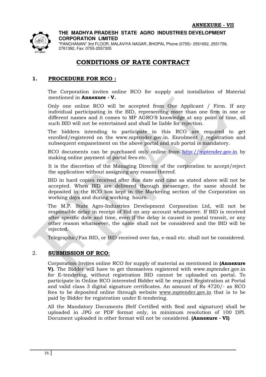

"PANCHANAN" 3rd FLOOR, MALAVIYA NAGAR, BHOPAL Phone (0755)- 2551652, 2551756, 2761392, Fax: 0755-2557305

# **CONDITIONS OF RATE CONTRACT**

#### **1. PROCEDURE FOR RCO :**

The Corporation invites online RCO for supply and installation of Material mentioned in **Annexure - V.** 

Only one online RCO will be accepted from One Applicant / Firm. If any individual participating in the BID, representing more than one firm in one or different names and it comes to MP AGRO'S knowledge at any point of time, all such BID will not be entertained and shall be liable for rejection.

The bidders intending to participate in this RCO are required to get enrolled/registered on the www.mptender.gov.in. Enrolment / registration and subsequent empanelment on the above portal and sub portal is mandatory.

RCO documents can be purchased only online from http://mptender.gov.in by making online payment of portal fees etc.

 It is the discretion of the Managing Director of the corporation to accept/reject the application without assigning any reason thereof.

BID in hard copies received after due date and time as stated above will not be accepted. When BID are delivered through messenger, the same should be deposited in the RCO box kept in the Marketing section of the Corporation on working days and during working hours.

The M.P. State Agro-Industries Development Corporation Ltd, will not be responsible delay in receipt of Bid on any account whatsoever. If BID is received after specific date and time, even if the delay is caused in postal transit, or any other reason whatsoever, the same shall not be considered and the BID will be rejected.

Telegraphic/Fax BID, or BID received over fax, e-mail etc. shall not be considered.

#### 2. **SUBMISSION OF RCO**:

Corporation Invites online RCO for supply of material as mentioned in **(Annexure V).** The Bidder will have to get themselves registered with www.mptender.gov.in for E-tendering, without registration BID cannot be uploaded on portal. To participate in Online RCO interested Bidder will be required Registration at Portal and valid class 3 digital signature certificates. An amount of Rs 4720/- as RCO fees to be deposited online through website www.mptender.gov.in that is to be paid by Bidder for registration under E-tendering.

All the Mandatory Documents (Self Certified with Seal and signature) shall be uploaded in JPG or PDF format only, in minimum resolution of 100 DPI. Document uploaded in other format will not be considered. **(Annexure - VI)**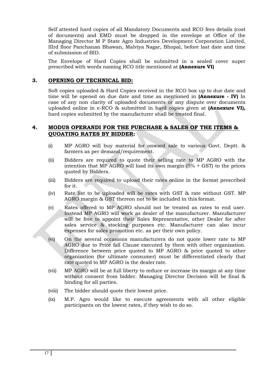Self attested hard copies of all Mandatory Documents and RCO fees details (cost of documents) and EMD must be dropped in the envelope at Office of the Managing Director M P State Agro Industries Development Corporation Limited, IIIrd floor Panchanan Bhawan, Malviya Nagar, Bhopal, before last date and time of submission of BID.

The Envelope of Hard Copies shall be submitted in a sealed cover super prescribed with words naming RCO title mentioned at **(Annexure VI)** 

#### **3. OPENING OF TECHNICAL BID:**

Soft copies uploaded & Hard Copies received in the RCO box up to due date and time will be opened on due date and time as mentioned in **(Annexure - IV)** In case of any non clarity of uploaded documents or any dispute over documents uploaded online in e-RCO & submitted in hard copies given at **(Annexure VI),**  hard copies submitted by the manufacturer shall be treated final.

#### **4. MODUS OPERANDI FOR THE PURCHASE & SALES OF THE ITEMS & QUOATING RATES BY BIDDER:**

- (i) MP AGRO will buy material for onward sale to various Govt. Deptt. & farmers as per demand/requirement.
- (ii) Bidders are required to quote their selling rate to MP AGRO with the intention that MP AGRO will load its own margin  $(5\% + GST)$  to the prices quoted by Bidders.
- (iii) Bidders are required to upload their rates online in the format prescribed for it.
- (iv) Rate list to be uploaded will be rates with GST & rate without GST. MP AGRO margin & GST thereon not to be included in this format.
- (v) Rates offered to MP AGRO should not be treated as rates to end user. Instead MP AGRO will work as dealer of the manufacturer. Manufacturer will be free to appoint their Sales Representative, other Dealer for after sales service & stocking purposes etc. Manufacturer can also incur expenses for sales promotion etc. as per their own policy.
- (vi) On the several occasions manufacturers do not quote lower rate to MP AGRO due to Price fall Clause executed by them with other organization. Difference between price quoted to MP AGRO & price quoted to other organization (for ultimate consumer) must be differentiated clearly that rate quoted to MP AGRO is the dealer rate.
- (vii) MP AGRO will be at full liberty to reduce or increase its margin at any time without consent from bidder. Managing Director Decision will be final & binding for all parties.
- (viii) The bidder should quote their lowest price.
- (ix) M.P. Agro would like to execute agreements with all other eligible participants on the lowest rates, if they wish to do so.

 $\sqrt{2}$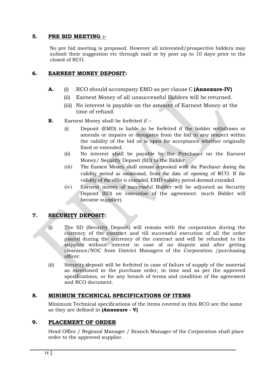#### **5. PRE BID MEETING :-**

No pre bid meeting is proposed. However all interested/prospective bidders may submit their suggestion etc through mail or by post up to 10 days prior to the closed of RCO.

#### **6. EARNEST MONEY DEPOSIT:**

- **A.** (i) RCO should accompany EMD as per clause C **(Annexure-IV)** 
	- (ii) Earnest Money of all unsuccessful Bidders will be returned.
	- (iii) No interest is payable on the amount of Earnest Money at the time of refund.
- **B.** Earnest Money shall be forfeited if :-
	- (i) Deposit (EMD) is liable to be forfeited if the bidder withdraws or amends or impairs or derogates from the bid in any respect within the validity of the bid or is open for acceptance whether originally fixed or extended.
	- (ii) No interest shall be payable by the Purchaser on the Earnest Money/ Security Deposit (SD) to the Bidder.
	- (iii) The Earnest Money shall remain deposited with the Purchaser during the validity period as mentioned, from the date of opening of RCO. If the validity of the offer is extended, EMD validity period deemed extended.
	- (iv) Earnest money of successful Bidder will be adjusted as Security Deposit (SD) on execution of the agreement. (such Bidder will became supplier).

#### **7. SECURITY DEPOSIT:**

- (i) The SD (Security Deposit) will remain with the corporation during the currency of the contract and till successful execution of all the order placed during the currency of the contract and will be refunded to the supplier without interest in case of no dispute and after getting clearance/NOC from District Managers of the Corporation /purchasing officer.
- (ii) Security deposit will be forfeited in case of failure of supply of the material as mentioned in the purchase order, in time and as per the approved specifications, or for any breach of terms and condition of the agreement and RCO document.

#### **8. MINIMUM TECHNICAL SPECIFICATIONS OF ITEMS**

Minimum Technical specifications of the items covered in this RCO are the same as they are defined in **(Annexure - V)** 

#### **9. PLACEMENT OF ORDER**

Head Office / Regional Manager / Branch Manager of the Corporation shall place order to the approved supplier.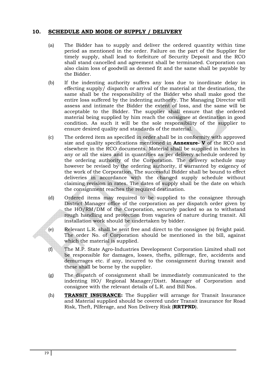#### **10. SCHEDULE AND MODE OF SUPPLY / DELIVERY**

- (a) The Bidder has to supply and deliver the ordered quantity within time period as mentioned in the order. Failure on the part of the Supplier for timely supply, shall lead to forfeiture of Security Deposit and the RCO shall stand cancelled and agreement shall be terminated. Corporation can also claim loss of goodwill as deemed fit and the same shall be payable by the Bidder.
- (b) If the indenting authority suffers any loss due to inordinate delay in effecting supply/ dispatch or arrival of the material at the destination, the same shall be the responsibility of the Bidder who shall make good the entire loss suffered by the indenting authority. The Managing Director will assess and intimate the Bidder the extent of loss, and the same will be acceptable to the Bidder. The supplier shall ensure that the ordered material being supplied by him reach the consignee at destination in good condition. As such it will be the sole responsibility of the supplier to ensure desired quality and standards of the material.
- (c) The ordered item as specified in order shall be in conformity with approved size and quality specifications mentioned in **Annexure- V** of the RCO and elsewhere in the RCO documents. Material shall be supplied in batches in any or all the sizes and in quantities as per delivery schedule ordered by the ordering authority of the Corporation. The delivery schedule may however be revised by the ordering authority, if warranted by exigency of the work of the Corporation. The successful Bidder shall be bound to effect deliveries in accordance with the changed supply schedule without claiming revision in rates. The dates of supply shall be the date on which the consignment reaches the required destination.
- (d) Ordered items may required to be supplied to the consignee through District Manager office of the corporation as per dispatch order given by the HO/RM/DM of the Corporation, securely packed so as to withstand rough handling and protection from vagaries of nature during transit. All installation work should be undertaken by bidder.
- (e) Relevant L.R. shall be sent free and direct to the consignee (s) freight paid. The order No. of Corporation should be mentioned in the bill, against which the material is supplied.
- (f) The M.P. State Agro-Industries Development Corporation Limited shall not be responsible for damages, losses, thefts, pilferage, fire, accidents and demurrages etc. if any, incurred to the consignment during transit and these shall be borne by the supplier.
- (g) The dispatch of consignment shall be immediately communicated to the indenting HO/ Regional Manager/Distt. Manager of Corporation and consignee with the relevant details of L.R. and Bill Nos.
- (h) **TRANSIT INSURANCE:** The Supplier will arrange for Transit Insurance and Material supplied should be covered under Transit insurance for Road Risk, Theft, Pilferage, and Non Delivery Risk (**RRTPND**).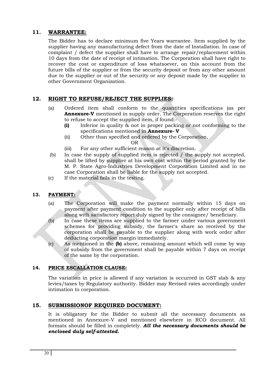#### **11. WARRANTEE:**

The Bidder has to declare minimum five Years warrantee. Item supplied by the supplier having any manufacturing defect from the date of Installation. In case of complaint / defect the supplier shall have to arrange repair/replacement within 10 days from the date of receipt of intimation. The Corporation shall have right to recover the cost or expenditure of loss whatsoever, on this account from the future bills of the supplier or from the security deposit or from any other amount due to the supplier or out of the security or any deposit made by the supplier in other Government Organization.

#### **12. RIGHT TO REFUSE/REJECT THE SUPPLIES:**

- (a) Ordered item shall conform to the quantities specifications (as per **Annexure-V** mentioned in supply order. The Corporation reserves the right to refuse to accept the supplied item, if found:-
	- **(i)** Inferior in quality & not in proper packing or not conforming to the specifications mentioned in **Annexure- V**
	- (ii) Other than specified and ordered by the Corporation,

OR

- (iii) For any other sufficient reason at it's discretion.
- (b) In case the supply of supplied item is rejected / the supply not accepted, shall be lifted by supplier at his own cost within the period granted by the M. P. State Agro-Industries Development Corporation Limited and in no case Corporation shall be liable for the supply not accepted.
- (c) If the material fails in the testing.

#### **13. PAYMENT:**

- (a) The Corporation will make the payment normally within 15 days on payment after payment condition to the supplier only after receipt of bills along with satisfactory report duly signed by the consignee/ beneficiary.
- (b) In case these items are supplied to the farmer under various government schemes for providing subsidy, the farmer's share so received by the corporation shall be payable to the supplier along with work order after deducting corporation margin immediately.
- (c) As mentioned in the **(b)** above, remaining amount which will come by way of subsidy from the government shall be payable within 7 days on receipt of the same by the corporation.

#### **14. PRICE ESCALLATION CLAUSE:**

The variation in price is allowed if any variation is occurred in GST slab & any levies/taxes by Regulatory authority. Bidder may Revised rates accordingly under intimation to corporation.

#### **15. SUBMISSIONOF REQUIRED DOCUMENT:**

It is obligatory for the Bidder to submit all the necessary documents as mentioned in Annexure-V and mentioned elsewhere in RCO document. All formats should be filled in completely. *All the necessary documents should be enclosed duly self-attested.*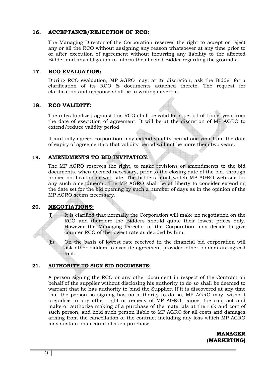#### **16. ACCEPTANCE/REJECTION OF RCO:**

The Managing Director of the Corporation reserves the right to accept or reject any or all the RCO without assigning any reason whatsoever at any time prior to or after execution of agreement without incurring any liability to the affected Bidder and any obligation to inform the affected Bidder regarding the grounds.

#### **17. RCO EVALUATION:**

During RCO evaluation, MP AGRO may, at its discretion, ask the Bidder for a clarification of its RCO & documents attached thereto. The request for clarification and response shall be in writing or verbal.

#### **18. RCO VALIDITY:**

The rates finalized against this RCO shall be valid for a period of 1(one) year from the date of execution of agreement. It will be at the discretion of MP AGRO to extend/reduce validity period.

If mutually agreed corporation may extend validity period one year from the date of expiry of agreement so that validity period will not be more them two years.

### **19. AMENDMENTS TO BID INVITATION:**

The MP AGRO reserves the right, to make revisions or amendments to the bid documents, when deemed necessary, prior to the closing date of the bid, through proper notification or web-site. The bidders must watch MP AGRO web site for any such amendments. The MP AGRO shall be at liberty to consider extending the date set for the bid opening by such a number of days as in the opinion of the MP AGRO seems necessary**.** 

#### **20. NEGOTIATIONS:**

- (i) It is clarified that normally the Corporation will make no negotiation on the RCO and therefore the Bidders should quote their lowest prices only. However the Managing Director of the Corporation may decide to give counter RCO of the lowest rate as decided by him.
- (ii) On the basis of lowest rate received in the financial bid corporation will ask other bidders to execute agreement provided other bidders are agreed to it.

#### **21. AUTHORITY TO SIGN BID DOCUMENTS:**

A person signing the RCO or any other document in respect of the Contract on behalf of the supplier without disclosing his authority to do so shall be deemed to warrant that he has authority to bind the Supplier. If it is discovered at any time that the person so signing has no authority to do so, MP AGRO may, without prejudice to any other right or remedy of MP AGRO, cancel the contract and make or authorize making of a purchase of the materials at the risk and cost of such person, and hold such person liable to MP AGRO for all costs and damages arising from the cancellation of the contract including any loss which MP AGRO may sustain on account of such purchase.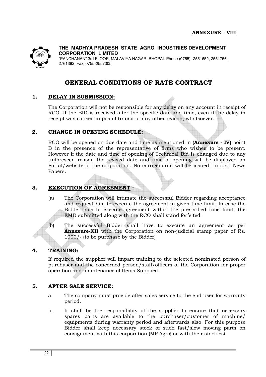

**THE MADHYA PRADESH STATE AGRO INDUSTRIES DEVELOPMENT CORPORATION LIMITED**  "PANCHANAN" 3rd FLOOR, MALAVIYA NAGAR, BHOPAL Phone (0755)- 2551652, 2551756,

**GENERAL CONDITIONS OF RATE CONTRACT**

#### **1. DELAY IN SUBMISSION:**

The Corporation will not be responsible for any delay on any account in receipt of RCO. If the BID is received after the specific date and time, even if the delay in receipt was caused in postal transit or any other reason, whatsoever.

#### **2. CHANGE IN OPENING SCHEDULE:**

2761392, Fax: 0755-2557305

RCO will be opened on due date and time as mentioned in (**Annexure - IV)** point B in the presence of the representative of firms who wishes to be present. However if the date and time of opening of Technical Bid is changed due to any unforeseen reason the revised date and time of opening will be displayed on Portal/website of the corporation. No corrigendum will be issued through News Papers.

#### **3. EXECUTION OF AGREEMENT :**

- (a) The Corporation will intimate the successful Bidder regarding acceptance and request him to execute the agreement in given time limit. In case the Bidder fails to execute agreement within the prescribed time limit, the EMD submitted along with the RCO shall stand forfeited.
- (b) The successful Bidder shall have to execute an agreement as per **Annexure-XII** with the Corporation on non-judicial stamp paper of Rs. 1000/- (to be purchase by the Bidder)

#### **4. TRAINING:**

If required the supplier will impart training to the selected nominated person of purchaser and the concerned person/staff/officers of the Corporation for proper operation and maintenance of Items Supplied.

#### **5. AFTER SALE SERVICE:**

- a. The company must provide after sales service to the end user for warranty period.
- b. It shall be the responsibility of the supplier to ensure that necessary spares parts are available to the purchaser/customer of machine/ equipments during warranty period and afterwards also. For this purpose Bidder shall keep necessary stock of such fast/slow moving parts on consignment with this corporation {MP Agro} or with their stockiest.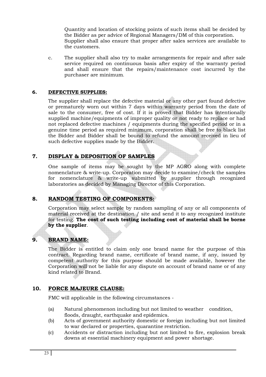Quantity and location of stocking points of such items shall be decided by the Bidder as per advice of Regional Managers/DM of this corporation. Supplier shall also ensure that proper after sales services are available to the customers.

c. The supplier shall also try to make arrangements for repair and after sale service required on continuous basis after expiry of the warranty period and shall ensure that the repairs/maintenance cost incurred by the purchaser are minimum.

#### **6. DEFECTIVE SUPPLIES:**

The supplier shall replace the defective material or any other part found defective or prematurely worn out within 7 days within warranty period from the date of sale to the consumer, free of cost. If it is proved that Bidder has intentionally supplied machine/equipments of improper quality or not ready to replace or had not replaced defective machines / equipments during the specified period or in a genuine time period as required minimum, corporation shall be free to black list the Bidder and Bidder shall be bound to refund the amount received in lieu of such defective supplies made by the Bidder.

#### **7. DISPLAY & DEPOSITION OF SAMPLES**

One sample of items may be sought by the MP AGRO along with complete nomenclature & write-up. Corporation may decide to examine/check the samples for nomenclature & write-up submitted by supplier through recognized laboratories as decided by Managing Director of this Corporation.

#### **8. RANDOM TESTING OF COMPONENTS:**

Corporation may select sample by random sampling of any or all components of material received at the destination / site and send it to any recognized institute for testing. **The cost of such testing including cost of material shall be borne by the supplier**.

#### **9. BRAND NAME:**

The Bidder is entitled to claim only one brand name for the purpose of this contract. Regarding brand name, certificate of brand name, if any, issued by competent authority for this purpose should be made available, however the Corporation will not be liable for any dispute on account of brand name or of any kind related to Brand.

#### **10. FORCE MAJEURE CLAUSE:**

FMC will applicable in the following circumstances -

- (a) Natural phenomenon including but not limited to weather condition, floods, draught, earthquake and epidemics.
- (b) Acts of government authority domestic or foreign including but not limited to war declared or properties, quarantine restriction.
- (c) Accidents or distraction including but not limited to fire, explosion break downs at essential machinery equipment and power shortage.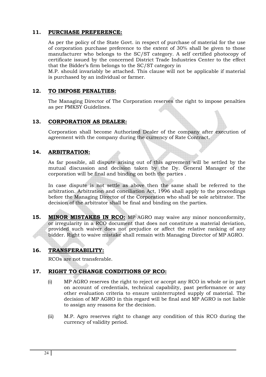#### **11. PURCHASE PREFERENCE:**

As per the policy of the State Govt. in respect of purchase of material for the use of corporation purchase preference to the extent of 30% shall be given to those manufacturer who belongs to the SC/ST category. A self certified photocopy of certificate issued by the concerned District Trade Industries Center to the effect that the Bidder's firm belongs to the SC/ST category in

M.P. should invariably be attached. This clause will not be applicable if material is purchased by an individual or farmer.

#### **12. TO IMPOSE PENALTIES:**

The Managing Director of The Corporation reserves the right to impose penalties as per PMKSY Guidelines.

#### **13. CORPORATION AS DEALER:**

Corporation shall become Authorized Dealer of the company after execution of agreement with the company during the currency of Rate Contract.

#### **14. ARBITRATION:**

As far possible, all dispute arising out of this agreement will be settled by the mutual discussion and decision taken by the Dy. General Manager of the corporation will be final and binding on both the parties .

In case dispute is not settle as above then the same shall be referred to the arbitration. Arbitration and conciliation Act, 1996 shall apply to the proceedings before the Managing Director of the Corporation who shall be sole arbitrator. The decision of the arbitrator shall be final and binding on the parties.

**15. MINOR MISTAKES IN RCO:** MP AGRO may waive any minor nonconformity, or irregularity in a RCO document that does not constitute a material deviation, provided such waiver does not prejudice or affect the relative ranking of any bidder. Right to waive mistake shall remain with Managing Director of MP AGRO.

#### **16. TRANSFERABILITY:**

RCOs are not transferable.

#### **17. RIGHT TO CHANGE CONDITIONS OF RCO:**

- (i) MP AGRO reserves the right to reject or accept any RCO in whole or in part on account of credentials, technical capability, past performance or any other evaluation criteria to ensure uninterrupted supply of material. The decision of MP AGRO in this regard will be final and MP AGRO is not liable to assign any reasons for the decision.
- (ii) M.P. Agro reserves right to change any condition of this RCO during the currency of validity period.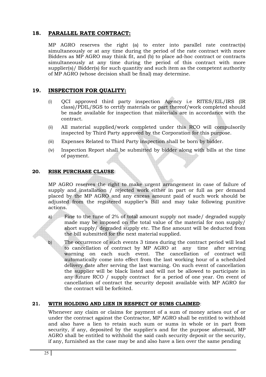#### **18. PARALLEL RATE CONTRACT:**

MP AGRO reserves the right (a) to enter into parallel rate contract(s) simultaneously or at any time during the period of the rate contract with more Bidders as MP AGRO may think fit, and (b) to place ad-hoc contract or contracts simultaneously at any time during the period of this contract with more supplier(s)/ Bidder(s) for such quantity and such item as the competent authority of MP AGRO (whose decision shall be final) may determine.

#### **19. INSPECTION FOR QUALITY:**

- (i) QCI approved third party inspection Agency i.e RITES/EIL/IRS (IR class)/PDIL/SGS to certify materials or part thereof/work completed should be made available for inspection that materials are in accordance with the contract.
- (ii) All material supplied/work completed under this RCO will compulsorily inspected by Third Party approved by the Corporation for this purpose.
- (iii) Expenses Related to Third Party inspection shall be born by bidder.
- (iv) Inspection Report shall be submitted by bidder along with bills at the time of payment.

#### **20. RISK PURCHASE CLAUSE**:

MP AGRO reserves the right to make urgent arrangement in case of failure of supply and installation / rejected work either in part or full as per demand placed by the MP AGRO and any excess amount paid of such work should be adjusted from the registered supplier's Bill and may take following punitive actions.

a) Fine to the tune of 2% of total amount supply not made/ degraded supply made may be imposed on the total value of the material for non supply/ short supply/ degraded supply etc. The fine amount will be deducted from the bill submitted for the next material supplied.

The occurrence of such events 3 times during the contract period will lead to cancellation of contract by MP AGRO at any time after serving warning on each such event. The cancellation of contract will automatically come into effect from the last working hour of a scheduled delivery date after serving the last warning. On such event of cancellation the supplier will be black listed and will not be allowed to participate in any future RCO / supply contract for a period of one year. On event of cancellation of contract the security deposit available with MP AGRO for the contract will be forfeited.

#### **21. WITH HOLDING AND LIEN IN RESPECT OF SUMS CLAIMED**:

Whenever any claim or claims for payment of a sum of money arises out of or under the contract against the Contractor, MP AGRO shall be entitled to withhold and also have a lien to retain such sum or sums in whole or in part from security, if any, deposited by the supplier's and for the purpose aforesaid, MP AGRO shall be entitled to withhold the said cash security deposit or the security, if any, furnished as the case may be and also have a lien over the same pending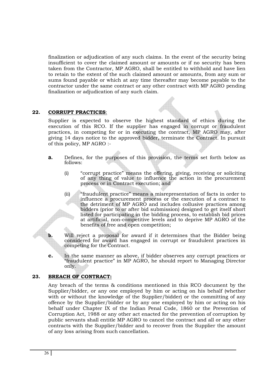finalization or adjudication of any such claims. In the event of the security being insufficient to cover the claimed amount or amounts or if no security has been taken from the Contractor, MP AGRO, shall be entitled to withhold and have lien to retain to the extent of the such claimed amount or amounts, from any sum or sums found payable or which at any time thereafter may become payable to the contractor under the same contract or any other contract with MP AGRO pending finalization or adjudication of any such claim.

#### **22. CORRUPT PRACTICES**:

Supplier is expected to observe the highest standard of ethics during the execution of this RCO. If the supplier has engaged in corrupt or fraudulent practices, in competing for or in executing the contract, MP AGRO may, after giving 14 days notice to the approved bidder, terminate the Contract. In pursuit of this policy, MP AGRO :-

- **a.** Defines, for the purposes of this provision, the terms set forth below as follows:
	- (i) "corrupt practice" means the offering, giving, receiving or soliciting of any thing of value to influence the action in the procurement process or in Contract execution; and
	- (ii) "fraudulent practice" means a misrepresentation of facts in order to influence a procurement process or the execution of a contract to the detriment of MP AGRO and includes collusive practices among bidders (prior to or after bid submission) designed to get itself short listed for participating in the bidding process, to establish bid prices at artificial, non-competitive levels and to deprive MP AGRO of the benefits of free and open competition;
- **b.** Will reject a proposal for award if it determines that the Bidder being considered for award has engaged in corrupt or fraudulent practices in competing for the Contract.
- **c.** In the same manner as above, if bidder observes any corrupt practices or "fraudulent practice" in MP AGRO, he should report to Managing Director only.

#### **23. BREACH OF CONTRACT:**

Any breach of the terms & conditions mentioned in this RCO document by the Supplier/bidder, or any one employed by him or acting on his behalf (whether with or without the knowledge of the Supplier/bidder) or the committing of any offence by the Supplier/bidder or by any one employed by him or acting on his behalf under Chapter IX of the Indian Penal Code, 1860 or the Prevention of Corruption Act, 1988 or any other act enacted for the prevention of corruption by public servants shall entitle MP AGRO to cancel the contract and all or any other contracts with the Supplier/bidder and to recover from the Supplier the amount of any loss arising from such cancellation.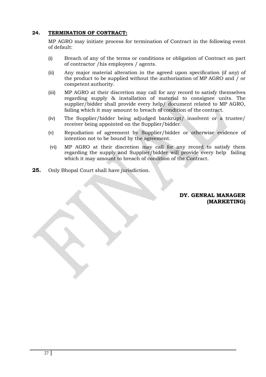#### **24. TERMINATION OF CONTRACT:**

MP AGRO may initiate process for termination of Contract in the following event of default:

- (i) Breach of any of the terms or conditions or obligation of Contract on part of contractor /his employees / agents.
- (ii) Any major material alteration in the agreed upon specification (if any) of the product to be supplied without the authorization of MP AGRO and / or competent authority.
- (iii) MP AGRO at their discretion may call for any record to satisfy themselves regarding supply & installation of material to consignee units. The supplier/bidder shall provide every help/ document related to MP AGRO, failing which it may amount to breach of condition of the contract.
- (iv) The Supplier/bidder being adjudged bankrupt/ insolvent or a trustee/ receiver being appointed on the Supplier/bidder.
- (v) Repudiation of agreement by Supplier/bidder or otherwise evidence of intention not to be bound by the agreement.
- (vi) MP AGRO at their discretion may call for any record to satisfy them regarding the supply and Supplier/bidder will provide every help failing which it may amount to breach of condition of the Contract.
- **25.** Only Bhopal Court shall have jurisdiction.

#### **DY. GENRAL MANAGER (MARKETING)**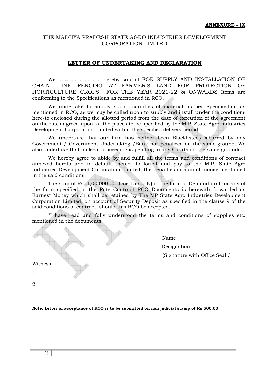#### **LETTER OF UNDERTAKING AND DECLARATION**

We …………………….. hereby submit FOR SUPPLY AND INSTALLATION OF CHAIN- LINK FENCING AT FARMER'S LAND FOR PROTECTION OF HORTICULTURE CROPS FOR THE YEAR 2021-22 & ONWARDS Items are conforming to the Specifications as mentioned in RCO.

We undertake to supply such quantities of material as per Specification as mentioned in RCO, as we may be called upon to supply and install under the conditions here-to enclosed during the allotted period from the date of execution of the agreement on the rates agreed upon, at the places to be specified by the M.P. State Agro Industries Development Corporation Limited within the specified delivery period.

We undertake that our firm has neither been Blacklisted/Debarred by any Government / Government Undertaking /Bank nor penalized on the same ground. We also undertake that no legal proceeding is pending in any Courts on the same grounds.

We hereby agree to abide by and fulfill all the terms and conditions of contract annexed hereto and in default thereof to forfeit and pay to the M.P. State Agro Industries Development Corporation Limited, the penalties or sum of money mentioned in the said conditions.

The sum of Rs. 1,00,000.00 (One Lac only) in the form of Demand draft or any of the form specified in the Rate Contract RCO Documents is herewith forwarded as Earnest Money which shall be retained by The MP State Agro Industries Development Corporation Limited, on account of Security Deposit as specified in the clause 9 of the said conditions of contract, should this RCO be accepted.

"I have read and fully understood the terms and conditions of supplies etc. mentioned in the documents.

Name :

Designation:

(Signature with Office Seal..)

Witness:

1.

2.

**Note: Letter of acceptance of RCO is to be submitted on non judicial stamp of Rs 500.00**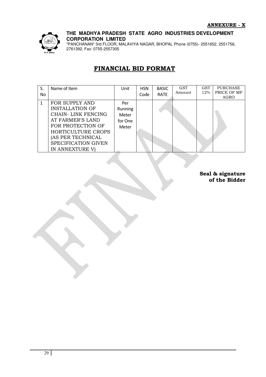

"PANCHANAN" 3rd FLOOR, MALAVIYA NAGAR, BHOPAL Phone (0755)- 2551652, 2551756, 2761392, Fax: 0755-2557305

# **FINANCIAL BID FORMAT**

| S.           | Name of Item                                                                                                                                                                                         | Unit                                        | <b>HSN</b> | <b>BASIC</b> | <b>GST</b> | GST | <b>PURCHASE</b>                                          |
|--------------|------------------------------------------------------------------------------------------------------------------------------------------------------------------------------------------------------|---------------------------------------------|------------|--------------|------------|-----|----------------------------------------------------------|
| <b>No</b>    |                                                                                                                                                                                                      |                                             | Code       | RATE         |            |     |                                                          |
| $\mathbf{1}$ | FOR SUPPLY AND<br><b>INSTALLATION OF</b><br><b>CHAIN- LINK FENCING</b><br>AT FARMER'S LAND<br>FOR PROTECTION OF<br>HORTICULTURE CROPS<br>(AS PER TECHNICAL<br>SPECIFICATION GIVEN<br>IN ANNEXTURE V) | Per<br>Running<br>Meter<br>for One<br>Meter |            |              | Amount     | 12% | PRICE OF MP<br>AGRO<br>Seal & signature<br>of the Bidder |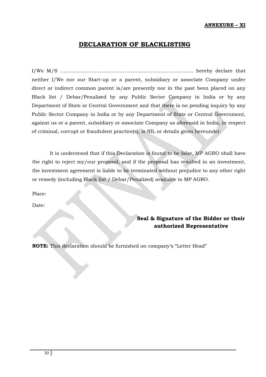#### **ANNEXURE – XI**

## **DECLARATION OF BLACKLISTING**

I/We M/S ……………………………………………………………………… hereby declare that neither I/We nor our Start-up or a parent, subsidiary or associate Company under direct or indirect common parent is/are presently nor in the past been placed on any Black list / Debar/Penalized by any Public Sector Company in India or by any Department of State or Central Government and that there is no pending inquiry by any Public Sector Company in India or by any Department of State or Central Government, against us or a parent, subsidiary or associate Company as aforesaid in India, in respect of criminal, corrupt or fraudulent practice(s), is NIL or details given hereunder.

It is understood that if this Declaration is found to be false, MP AGRO shall have the right to reject my/our proposal, and if the proposal has resulted in an investment, the investment agreement is liable to be terminated without prejudice to any other right or remedy (including Black list / Debar/Penalized) available to MP AGRO.

Place:

Date:

# **Seal & Signature of the Bidder or their authorized Representative**

**NOTE:** This declaration should be furnished on company's "Letter Head"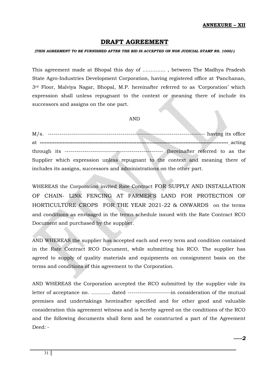### **DRAFT AGREEMENT**

#### *(THIS AGREEMENT TO BE FURNISHED AFTER THE BID IS ACCEPTED ON NON JUDICIAL STAMP RS. 1000/-)*

This agreement made at Bhopal this day of ………….. , between The Madhya Pradesh State Agro-Industries Development Corporation, having registered office at 'Panchanan, 3rd Floor, Malviya Nagar, Bhopal, M.P. hereinafter referred to as 'Corporation' which expression shall unless repugnant to the context or meaning there of include its successors and assigns on the one part.

#### AND

M/s. -------------------------------------------------------------------------------- having its office at **-------------------------------------------------------------------------------------------------------------------** acting through its -------------------------------------------------- (hereinafter referred to as the Supplier which expression unless repugnant to the context and meaning there of includes its assigns, successors and administrations on the other part.

WHEREAS the Corporation invited Rate Contract FOR SUPPLY AND INSTALLATION OF CHAIN- LINK FENCING AT FARMER'S LAND FOR PROTECTION OF HORTICULTURE CROPS FOR THE YEAR 2021-22 & ONWARDS on the terms and conditions as envisaged in the terms schedule issued with the Rate Contract RCO Document and purchased by the supplier.

AND WHEREAS the supplier has accepted each and every term and condition contained in the Rate Contract RCO Document, while submitting his RCO. The supplier has agreed to supply of quality materials and equipments on consignment basis on the terms and conditions of this agreement to the Corporation.

AND WHEREAS the Corporation accepted the RCO submitted by the supplier vide its letter of acceptance no. …......... dated ----------------------in consideration of the mutual premises and undertakings hereinafter specified and for other good and valuable consideration this agreement witness and is hereby agreed on the conditions of the RCO and the following documents shall form and be constructed a part of the Agreement  $Deed:$ -

*------2*